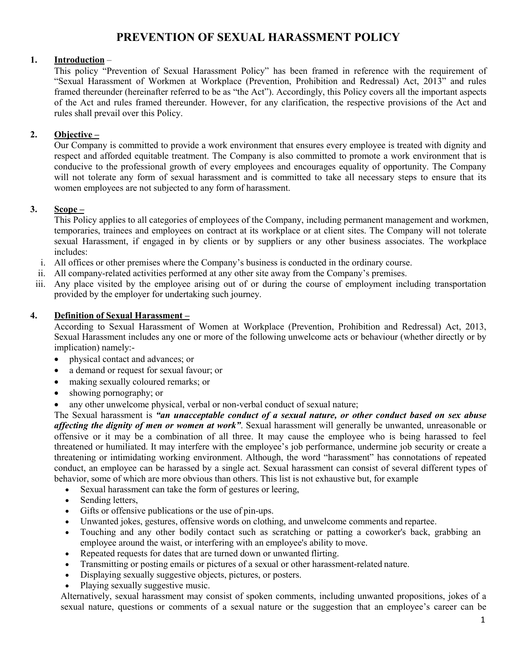# **PREVENTION OF SEXUAL HARASSMENT POLICY**

# **1. Introduction** –

This policy "Prevention of Sexual Harassment Policy" has been framed in reference with the requirement of "Sexual Harassment of Workmen at Workplace (Prevention, Prohibition and Redressal) Act, 2013" and rules framed thereunder (hereinafter referred to be as "the Act"). Accordingly, this Policy covers all the important aspects of the Act and rules framed thereunder. However, for any clarification, the respective provisions of the Act and rules shall prevail over this Policy.

# **2. Objective –**

Our Company is committed to provide a work environment that ensures every employee is treated with dignity and respect and afforded equitable treatment. The Company is also committed to promote a work environment that is conducive to the professional growth of every employees and encourages equality of opportunity. The Company will not tolerate any form of sexual harassment and is committed to take all necessary steps to ensure that its women employees are not subjected to any form of harassment.

### **3. Scope –**

This Policy applies to all categories of employees of the Company, including permanent management and workmen, temporaries, trainees and employees on contract at its workplace or at client sites. The Company will not tolerate sexual Harassment, if engaged in by clients or by suppliers or any other business associates. The workplace includes:

- i. All offices orother premises where the Company's business is conducted in the ordinary course.
- ii. All company-related activities performed at any other site away from the Company's premises.
- iii. Any place visited by the employee arising out of or during the course of employment including transportation provided by the employer for undertaking such journey.

### **4. Definition of Sexual Harassment –**

According to Sexual Harassment of Women at Workplace (Prevention, Prohibition and Redressal) Act, 2013, Sexual Harassment includes any one or more of the following unwelcome acts orbehaviour (whether directly or by implication) namely:-

- physical contact and advances; or
- a demand or request for sexual favour; or
- making sexually coloured remarks; or
- showing pornography; or
- any other unwelcome physical, verbal or non-verbal conduct of sexual nature;

The Sexualharassment is *"an unacceptable conduct of a sexual nature, or other conduct based on sex abuse affecting the dignity of men or women at work"*. Sexual harassment will generally be unwanted, unreasonable or offensive or it may be a combination of all three. It may cause the employee who is being harassed to feel threatened or humiliated. It may interfere with the employee's job performance, undermine job security or create a threatening or intimidating working environment. Although, the word "harassment" has connotations of repeated conduct, an employee can be harassed by a single act. Sexual harassment can consist of several different types of behavior, some of which are more obvious than others. This list is not exhaustive but, for example

- Sexual harassment can take the form of gestures or leering,
- Sending letters,
- Gifts or offensive publications or the use of pin-ups.
- Unwanted jokes, gestures, offensive words on clothing, and unwelcome comments and repartee.
- Touching and any other bodily contact such as scratching or patting a coworker's back, grabbing an employee around the waist, or interfering with an employee's ability to move.
- Repeated requests for dates that are turned down or unwanted flirting.
- Transmitting or posting emails or pictures of a sexual or other harassment-related nature.
- Displaying sexually suggestive objects, pictures, or posters.
- Playing sexually suggestive music.

Alternatively, sexual harassment may consist of spoken comments, including unwanted propositions, jokes of a sexual nature, questions or comments of a sexual nature or the suggestion that an employee's career can be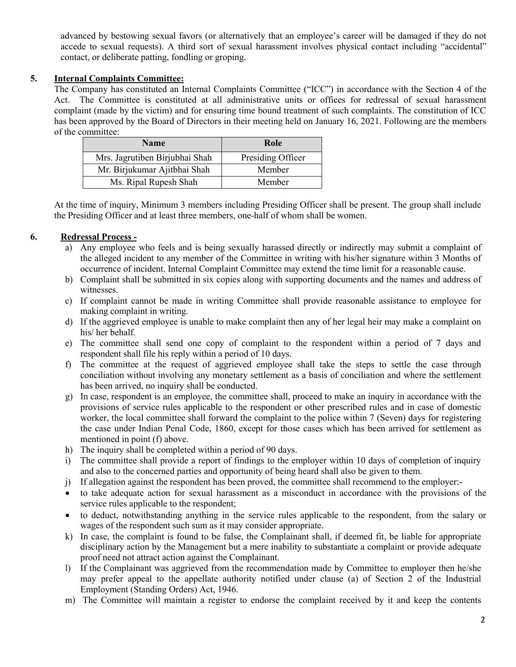advanced by bestowing sexual favors (or alternatively that an employee's career will be damaged if they do not accede to sexual requests). A third sort of sexual harassment involves physical contact including "accidental" contact, or deliberate patting, fondling or groping.

# **5. Internal Complaints Committee:**

The Company has constituted an Internal Complaints Committee ("ICC") in accordance with the Section 4 of the Act. The Committee is constituted at all administrative units or offices for redressal of sexual harassment complaint (made by the victim) and for ensuring time bound treatment of such complaints. The constitution of ICC has been approved by the Board of Directors in their meeting held on January 16, 2021. Following are the members of the committee:

| <b>Name</b>                    | Role              |
|--------------------------------|-------------------|
| Mrs. Jagrutiben Birjubhai Shah | Presiding Officer |
| Mr. Birjukumar Ajitbhai Shah   | Member            |
| Ms. Ripal Rupesh Shah          | Member            |

At the time of inquiry, Minimum 3 members including Presiding Officershall be present. The group shall include the Presiding Officer and at least three members, one-half of whom shall be women.

# **6. Redressal Process -**

- a) Any employee who feels and is being sexually harassed directly or indirectly may submit a complaint of the alleged incident to any member of the Committee in writing with his/her signature within 3 Months of occurrence of incident. Internal Complaint Committee may extend the time limit for a reasonable cause.
- b) Complaint shall be submitted in six copies along with supporting documents and the names and address of witnesses.
- c) If complaint cannot be made in writing Committee shall provide reasonable assistance to employee for making complaint in writing.
- d) If the aggrieved employee is unable to make complaint then any of her legal heir may make a complaint on his/ her behalf.
- e) The committee shall send one copy of complaint to the respondent within a period of 7 days and respondent shall file his reply within a period of 10 days.
- f) The committee at the request of aggrieved employee shall take the steps to settle the case through conciliation without involving any monetary settlement as a basis of conciliation and where the settlement has been arrived, no inquiry shall be conducted.
- g) In case, respondent is an employee, the committee shall, proceed to make an inquiry in accordance with the provisions of service rules applicable to the respondent or other prescribed rules and in case of domestic worker, the local committee shall forward the complaint to the police within 7 (Seven) days for registering the case under Indian Penal Code, 1860, except for those cases which has been arrived for settlement as mentioned in point (f) above.
- h) The inquiry shall be completed within a period of 90 days.
- i) The committee shall provide a report of findings to the employer within 10 days of completion of inquiry and also to the concerned parties and opportunity of being heard shall also be given to them.
- j) If allegation against the respondent has been proved, the committee shall recommend to the employer:-
- to take adequate action for sexual harassment as a misconduct in accordance with the provisions of the service rules applicable to the respondent;
- to deduct, notwithstanding anything in the service rules applicable to the respondent, from the salary or wages of the respondent such sum as it may consider appropriate.
- k) In case, the complaint is found to be false, the Complainant shall, if deemed fit, be liable for appropriate disciplinary action by the Management but a mere inability to substantiate a complaint or provide adequate proof need not attract action against the Complainant.
- l) If the Complainant was aggrieved from the recommendation made by Committee to employer then he/she may prefer appeal to the appellate authority notified under clause (a) of Section 2 of the Industrial Employment (Standing Orders) Act, 1946.
- m) The Committee will maintain a register to endorse the complaint received by it and keep the contents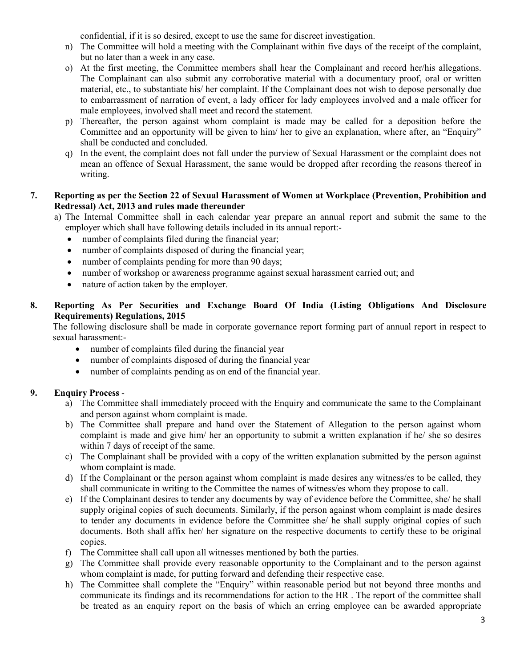confidential, if it is so desired, except to use the same for discreet investigation.

- n) The Committee will hold a meeting with the Complainant within five days of the receipt of the complaint, but no later than a week in any case.
- o) At the first meeting, the Committee members shall hear the Complainant and record her/his allegations. The Complainant can also submit any corroborative material with a documentary proof, oral or written material, etc., to substantiate his/ her complaint. If the Complainant does not wish to depose personally due to embarrassment of narration of event, a lady officer for lady employees involved and a male officer for male employees, involved shall meet and record the statement.
- p) Thereafter, the person against whom complaint is made may be called for a deposition before the Committee and an opportunity will be given to him/ her to give an explanation, where after, an "Enquiry" shall be conducted and concluded.
- q) In the event, the complaint does not fall under the purview of Sexual Harassment or the complaint does not mean an offence of Sexual Harassment, the same would be dropped after recording the reasons thereof in writing.

#### **7. Reporting as per the Section 22 of SexualHarassment of Women at Workplace (Prevention, Prohibition and Redressal) Act, 2013 and rules made thereunder**

- a) The Internal Committee shall in each calendar year prepare an annual report and submit the same to the employer which shall have following details included in its annual report:
	- number of complaints filed during the financial year;
	- number of complaints disposed of during the financial year;
	- number of complaints pending for more than 90 days;
	- number of workshop or awareness programme against sexual harassment carried out; and
	- nature of action taken by the employer.

### **8. Reporting As Per Securities and Exchange Board Of India (Listing Obligations And Disclosure Requirements) Regulations, 2015**

The following disclosure shall be made in corporate governance report forming part of annual report in respect to sexual harassment:-

- number of complaints filed during the financial year
- number of complaints disposed of during the financial year
- number of complaints pending as on end of the financial year.

# **9. Enquiry Process** -

- a) The Committee shall immediately proceed with the Enquiry and communicate the same to the Complainant and person against whom complaint is made.<br>b) The Committee shall prepare and hand over the Statement of Allegation to the person against whom
- complaint is made and give him/ her an opportunity to submit a written explanation if he/ she so desires within 7 days of receipt of the same.
- c) The Complainant shall be provided with a copy of the written explanation submitted by the person against whom complaint is made.
- d) If the Complainant or the person against whom complaint is made desires any witness/es to be called, they shall communicate in writing to the Committee the names of witness/es whom they propose to call.
- e) If the Complainant desires to tender any documents by way of evidence before the Committee, she/ he shall supply original copies of such documents. Similarly, if the person against whom complaint is made desires to tender any documents in evidence before the Committee she/ he shall supply original copies of such documents. Both shall affix her/ her signature on the respective documents to certify these to be original copies.
- f) The Committee shall call upon all witnesses mentioned by both the parties.
- g) The Committee shall provide every reasonable opportunity to the Complainant and to the person against whom complaint is made, for putting forward and defending their respective case.
- h) The Committee shall complete the "Enquiry" within reasonable period but not beyond three months and communicate its findings and its recommendations for action to the HR .The report of the committee shall be treated as an enquiry report on the basis of which an erring employee can be awarded appropriate